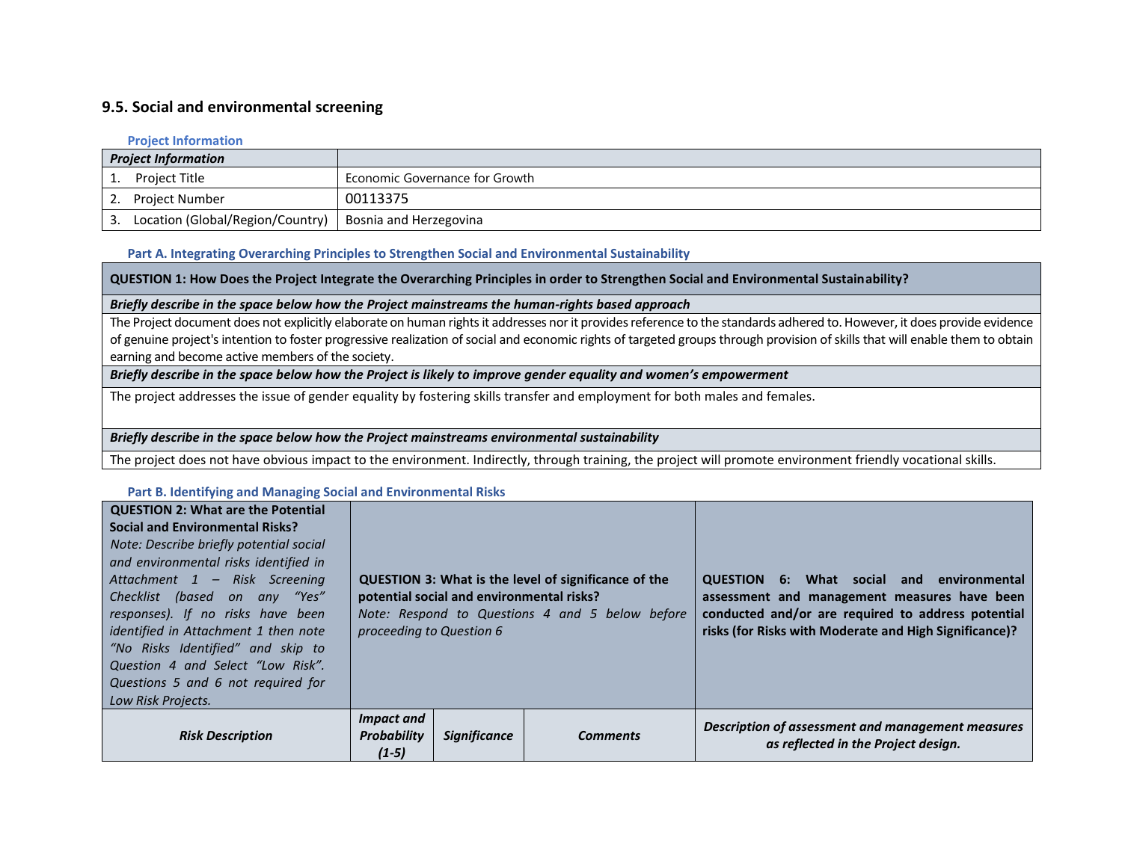# **9.5. Social and environmental screening**

#### **Project Information**

| <b>Project Information</b>       |                                |
|----------------------------------|--------------------------------|
| <b>Project Title</b>             | Economic Governance for Growth |
| <b>Project Number</b>            | 00113375                       |
| Location (Global/Region/Country) | Bosnia and Herzegovina         |

#### **Part A. Integrating Overarching Principles to Strengthen Social and Environmental Sustainability**

**QUESTION 1: How Does the Project Integrate the Overarching Principles in order to Strengthen Social and Environmental Sustainability?**

#### *Briefly describe in the space below how the Project mainstreams the human-rights based approach*

The Project document does not explicitly elaborate on human rights it addresses nor it provides reference to the standards adhered to. However, it does provide evidence of genuine project's intention to foster progressive realization of social and economic rights of targeted groups through provision of skills that will enable them to obtain earning and become active members of the society.

## *Briefly describe in the space below how the Project is likely to improve gender equality and women's empowerment*

The project addresses the issue of gender equality by fostering skills transfer and employment for both males and females.

### *Briefly describe in the space below how the Project mainstreams environmental sustainability*

The project does not have obvious impact to the environment. Indirectly, through training, the project will promote environment friendly vocational skills.

#### **Part B. Identifying and Managing Social and Environmental Risks**

| <b>QUESTION 2: What are the Potential</b><br><b>Social and Environmental Risks?</b><br>Note: Describe briefly potential social<br>and environmental risks identified in<br>Attachment 1 - Risk Screening<br>Checklist (based on any "Yes"<br>responses). If no risks have been<br>identified in Attachment 1 then note<br>"No Risks Identified" and skip to<br>Question 4 and Select "Low Risk".<br>Questions 5 and 6 not required for<br>Low Risk Projects. | <b>QUESTION 3: What is the level of significance of the</b><br>potential social and environmental risks?<br>Note: Respond to Questions 4 and 5 below before<br>proceeding to Question 6 |                     |                 | What social and<br>environmental<br><b>QUESTION 6:</b><br>assessment and management measures have been<br>conducted and/or are required to address potential<br>risks (for Risks with Moderate and High Significance)? |
|--------------------------------------------------------------------------------------------------------------------------------------------------------------------------------------------------------------------------------------------------------------------------------------------------------------------------------------------------------------------------------------------------------------------------------------------------------------|-----------------------------------------------------------------------------------------------------------------------------------------------------------------------------------------|---------------------|-----------------|------------------------------------------------------------------------------------------------------------------------------------------------------------------------------------------------------------------------|
| <b>Risk Description</b>                                                                                                                                                                                                                                                                                                                                                                                                                                      | <b>Impact and</b><br><b>Probability</b><br>$(1-5)$                                                                                                                                      | <b>Significance</b> | <b>Comments</b> | Description of assessment and management measures<br>as reflected in the Project design.                                                                                                                               |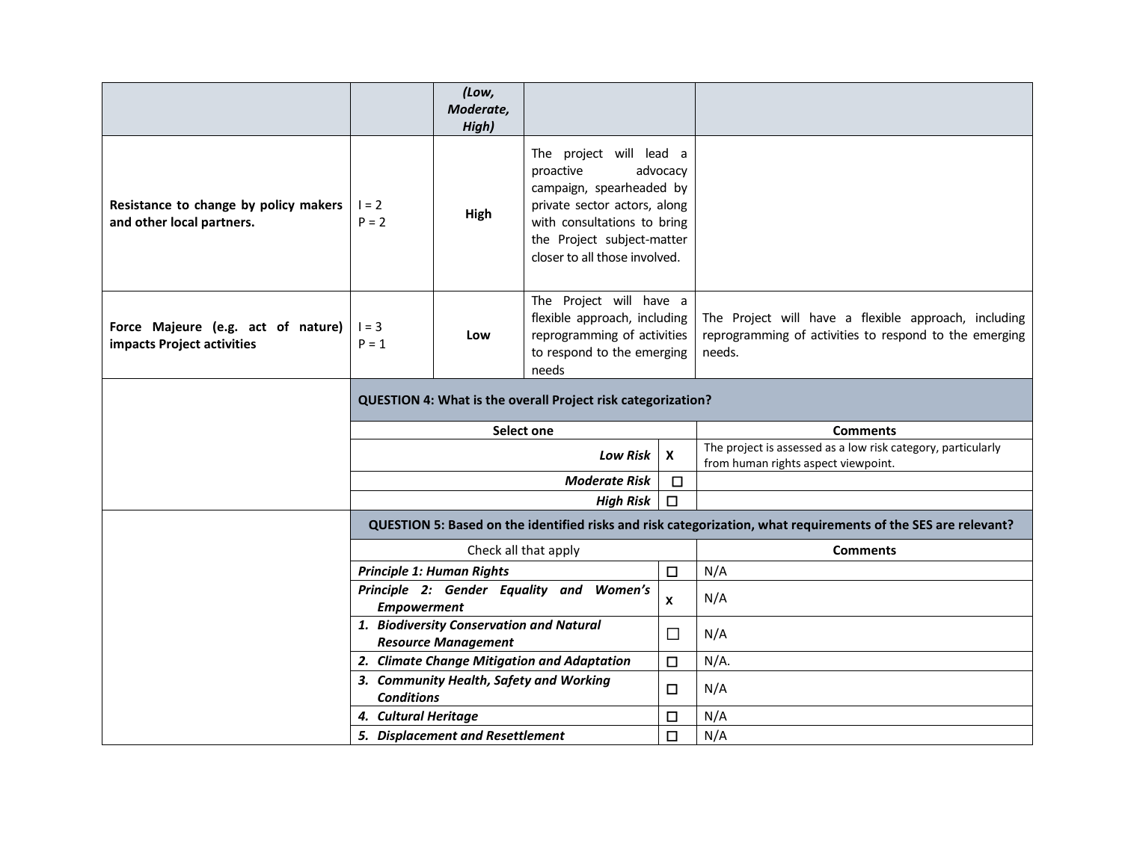|                                                                    |                                                              | (Low,<br>Moderate,<br>High)                                            |                                                                                                                                                                                                            |                           |                                                                                                                          |
|--------------------------------------------------------------------|--------------------------------------------------------------|------------------------------------------------------------------------|------------------------------------------------------------------------------------------------------------------------------------------------------------------------------------------------------------|---------------------------|--------------------------------------------------------------------------------------------------------------------------|
| Resistance to change by policy makers<br>and other local partners. | $1 = 2$<br>$P = 2$                                           | High                                                                   | The project will lead a<br>proactive<br>advocacy<br>campaign, spearheaded by<br>private sector actors, along<br>with consultations to bring<br>the Project subject-matter<br>closer to all those involved. |                           |                                                                                                                          |
| Force Majeure (e.g. act of nature)<br>impacts Project activities   | $1 = 3$<br>$P = 1$                                           | Low                                                                    | The Project will have a<br>flexible approach, including<br>reprogramming of activities<br>to respond to the emerging<br>needs                                                                              |                           | The Project will have a flexible approach, including<br>reprogramming of activities to respond to the emerging<br>needs. |
|                                                                    | QUESTION 4: What is the overall Project risk categorization? |                                                                        |                                                                                                                                                                                                            |                           |                                                                                                                          |
|                                                                    | Select one                                                   |                                                                        |                                                                                                                                                                                                            | <b>Comments</b>           |                                                                                                                          |
|                                                                    | <b>Low Risk</b>                                              |                                                                        |                                                                                                                                                                                                            |                           |                                                                                                                          |
|                                                                    |                                                              |                                                                        |                                                                                                                                                                                                            | $\boldsymbol{\mathsf{x}}$ | The project is assessed as a low risk category, particularly<br>from human rights aspect viewpoint.                      |
|                                                                    |                                                              |                                                                        | <b>Moderate Risk</b>                                                                                                                                                                                       | $\Box$                    |                                                                                                                          |
|                                                                    |                                                              |                                                                        | <b>High Risk</b>                                                                                                                                                                                           | $\Box$                    |                                                                                                                          |
|                                                                    |                                                              |                                                                        |                                                                                                                                                                                                            |                           | QUESTION 5: Based on the identified risks and risk categorization, what requirements of the SES are relevant?            |
|                                                                    |                                                              |                                                                        | Check all that apply                                                                                                                                                                                       |                           | <b>Comments</b>                                                                                                          |
|                                                                    | <b>Principle 1: Human Rights</b>                             |                                                                        |                                                                                                                                                                                                            | $\Box$                    | N/A                                                                                                                      |
|                                                                    | <b>Empowerment</b>                                           |                                                                        | Principle 2: Gender Equality and Women's                                                                                                                                                                   | $\boldsymbol{x}$          | N/A                                                                                                                      |
|                                                                    |                                                              | 1. Biodiversity Conservation and Natural<br><b>Resource Management</b> |                                                                                                                                                                                                            | $\Box$                    | N/A                                                                                                                      |
|                                                                    |                                                              |                                                                        | 2. Climate Change Mitigation and Adaptation                                                                                                                                                                | $\Box$                    | $N/A$ .                                                                                                                  |
|                                                                    | <b>Conditions</b>                                            |                                                                        | 3. Community Health, Safety and Working                                                                                                                                                                    | $\Box$                    | N/A                                                                                                                      |
|                                                                    | 4. Cultural Heritage                                         |                                                                        |                                                                                                                                                                                                            | $\Box$                    | N/A<br>N/A                                                                                                               |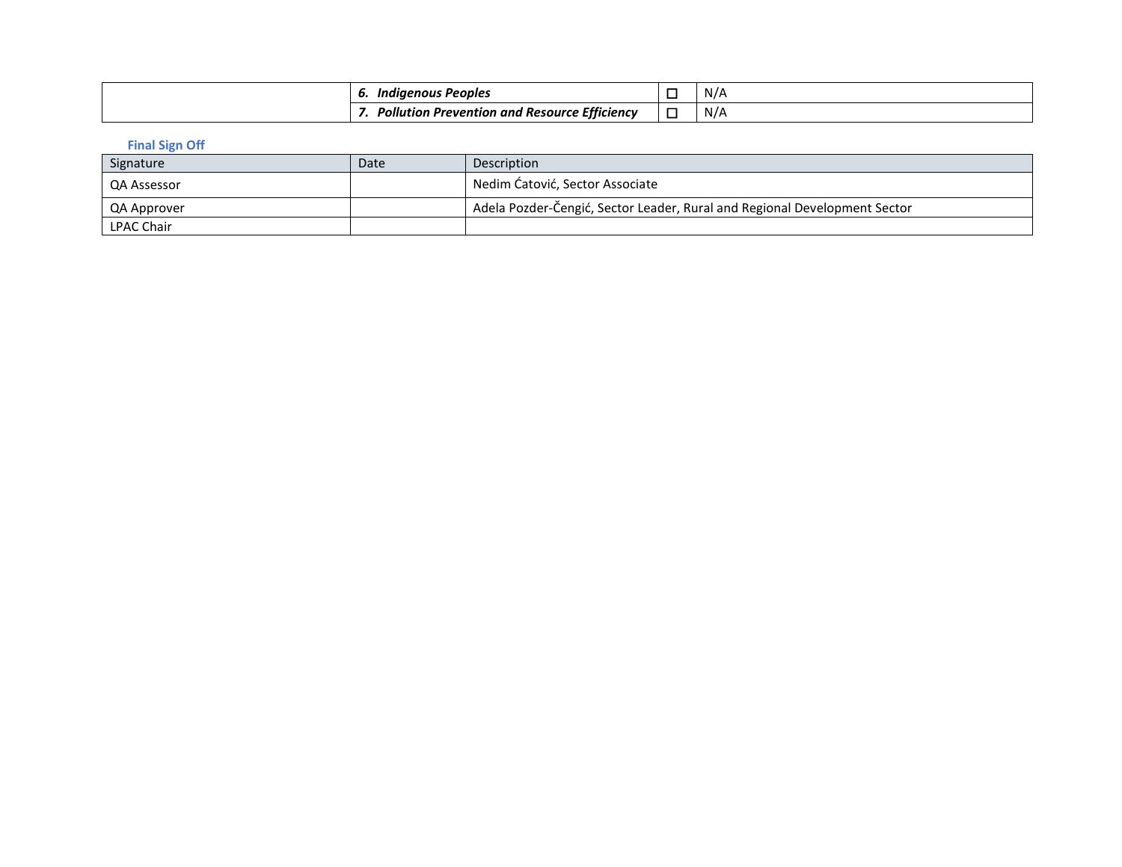| : Peoples<br>Indiaenous<br>o.                     | IV / |
|---------------------------------------------------|------|
| n Prevention and Resource Efficiency<br>Pollution | N/A  |

**Final Sign Off** 

| Signature         | Date | Description                                                               |
|-------------------|------|---------------------------------------------------------------------------|
| QA Assessor       |      | Nedim Ćatović, Sector Associate                                           |
| QA Approver       |      | Adela Pozder-Čengić, Sector Leader, Rural and Regional Development Sector |
| <b>LPAC Chair</b> |      |                                                                           |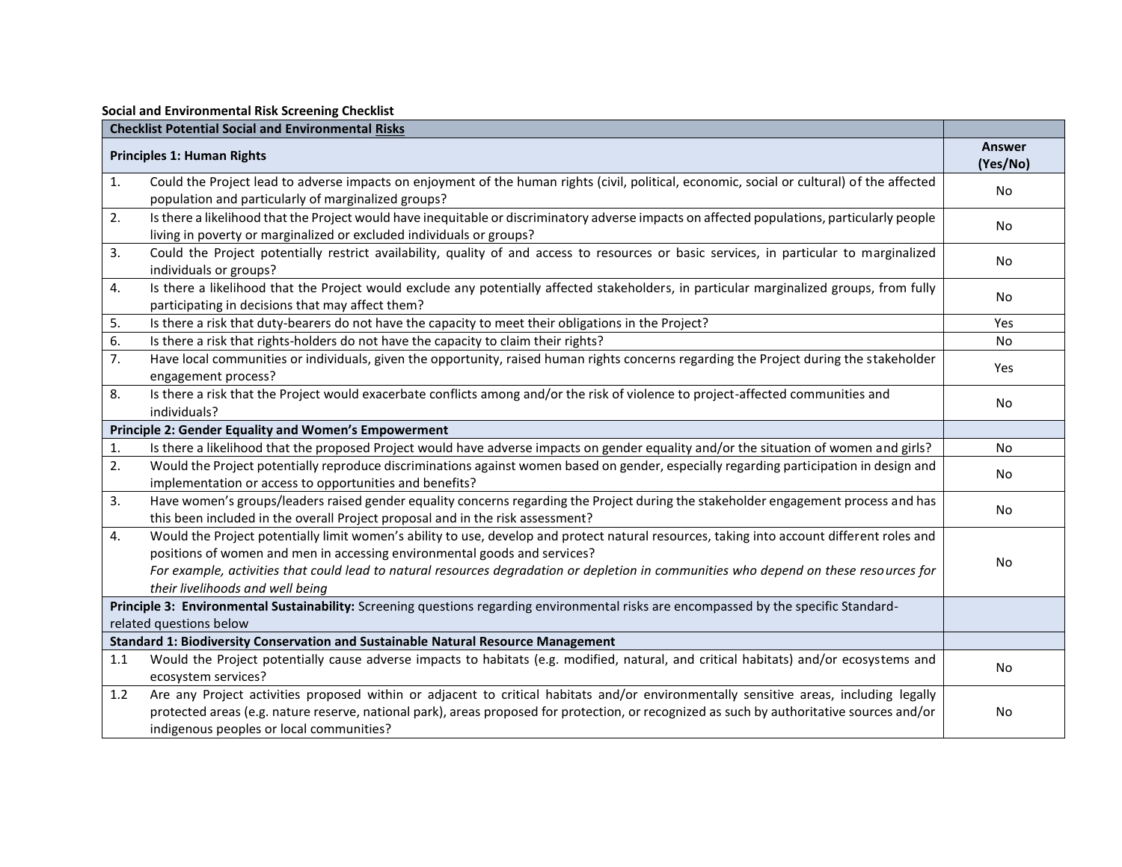|                                   | Social and Environmental Risk Screening Checklist                                                                                                                                                                                                                                                                                                                                                     |                |  |
|-----------------------------------|-------------------------------------------------------------------------------------------------------------------------------------------------------------------------------------------------------------------------------------------------------------------------------------------------------------------------------------------------------------------------------------------------------|----------------|--|
|                                   | <b>Checklist Potential Social and Environmental Risks</b>                                                                                                                                                                                                                                                                                                                                             | Answer         |  |
| <b>Principles 1: Human Rights</b> |                                                                                                                                                                                                                                                                                                                                                                                                       |                |  |
| $\mathbf{1}$ .                    | Could the Project lead to adverse impacts on enjoyment of the human rights (civil, political, economic, social or cultural) of the affected<br>population and particularly of marginalized groups?                                                                                                                                                                                                    | (Yes/No)<br>No |  |
| 2.                                | Is there a likelihood that the Project would have inequitable or discriminatory adverse impacts on affected populations, particularly people<br>living in poverty or marginalized or excluded individuals or groups?                                                                                                                                                                                  | No             |  |
| 3.                                | Could the Project potentially restrict availability, quality of and access to resources or basic services, in particular to marginalized<br>individuals or groups?                                                                                                                                                                                                                                    | No             |  |
| 4.                                | Is there a likelihood that the Project would exclude any potentially affected stakeholders, in particular marginalized groups, from fully<br>participating in decisions that may affect them?                                                                                                                                                                                                         | No             |  |
| 5.                                | Is there a risk that duty-bearers do not have the capacity to meet their obligations in the Project?                                                                                                                                                                                                                                                                                                  | Yes            |  |
| 6.                                | Is there a risk that rights-holders do not have the capacity to claim their rights?                                                                                                                                                                                                                                                                                                                   | No             |  |
| 7.                                | Have local communities or individuals, given the opportunity, raised human rights concerns regarding the Project during the stakeholder<br>engagement process?                                                                                                                                                                                                                                        | Yes            |  |
| 8.                                | Is there a risk that the Project would exacerbate conflicts among and/or the risk of violence to project-affected communities and<br>individuals?                                                                                                                                                                                                                                                     | No             |  |
|                                   | Principle 2: Gender Equality and Women's Empowerment                                                                                                                                                                                                                                                                                                                                                  |                |  |
| 1.                                | Is there a likelihood that the proposed Project would have adverse impacts on gender equality and/or the situation of women and girls?                                                                                                                                                                                                                                                                | No             |  |
| 2.                                | Would the Project potentially reproduce discriminations against women based on gender, especially regarding participation in design and<br>implementation or access to opportunities and benefits?                                                                                                                                                                                                    | No             |  |
| 3.                                | Have women's groups/leaders raised gender equality concerns regarding the Project during the stakeholder engagement process and has<br>this been included in the overall Project proposal and in the risk assessment?                                                                                                                                                                                 | No             |  |
| 4.                                | Would the Project potentially limit women's ability to use, develop and protect natural resources, taking into account different roles and<br>positions of women and men in accessing environmental goods and services?<br>For example, activities that could lead to natural resources degradation or depletion in communities who depend on these resources for<br>their livelihoods and well being | No             |  |
|                                   | Principle 3: Environmental Sustainability: Screening questions regarding environmental risks are encompassed by the specific Standard-                                                                                                                                                                                                                                                                |                |  |
|                                   | related questions below                                                                                                                                                                                                                                                                                                                                                                               |                |  |
|                                   | <b>Standard 1: Biodiversity Conservation and Sustainable Natural Resource Management</b>                                                                                                                                                                                                                                                                                                              |                |  |
| 1.1                               | Would the Project potentially cause adverse impacts to habitats (e.g. modified, natural, and critical habitats) and/or ecosystems and<br>ecosystem services?                                                                                                                                                                                                                                          | No             |  |
| 1.2                               | Are any Project activities proposed within or adjacent to critical habitats and/or environmentally sensitive areas, including legally<br>protected areas (e.g. nature reserve, national park), areas proposed for protection, or recognized as such by authoritative sources and/or<br>indigenous peoples or local communities?                                                                       | No             |  |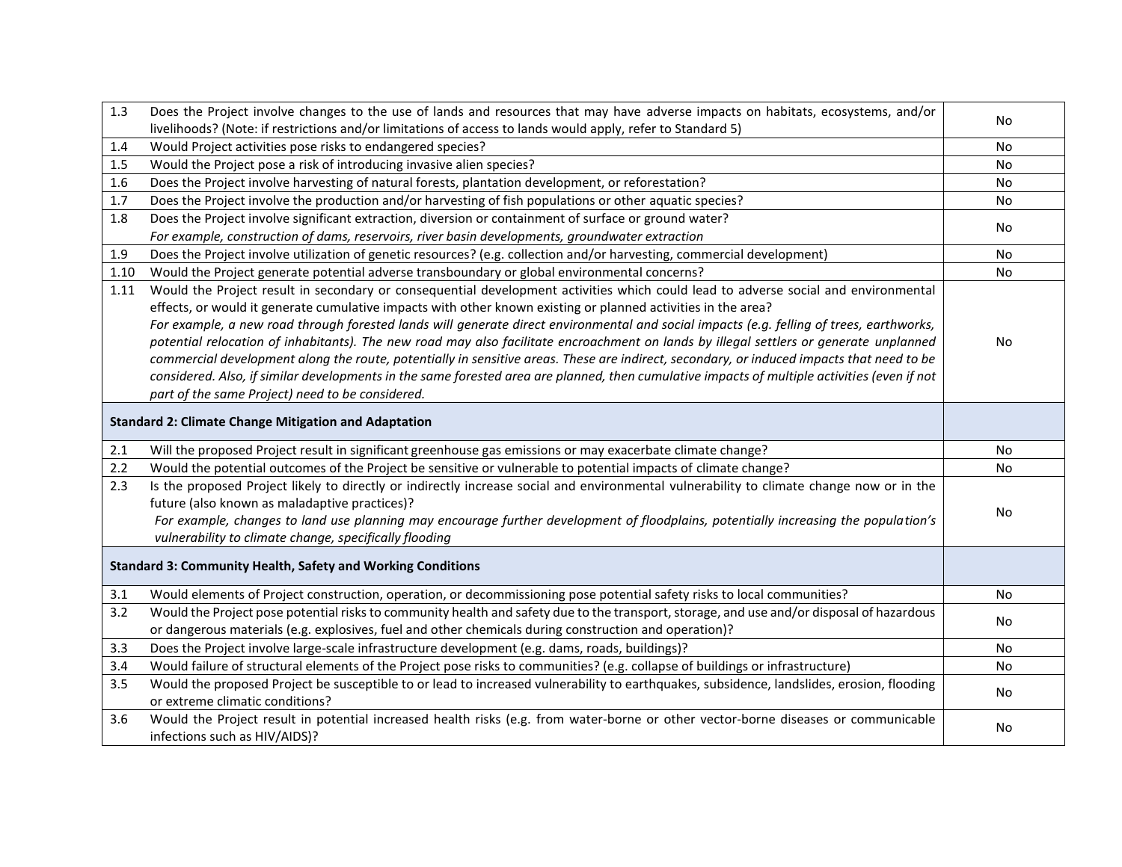| 1.3  | Does the Project involve changes to the use of lands and resources that may have adverse impacts on habitats, ecosystems, and/or             |    |
|------|----------------------------------------------------------------------------------------------------------------------------------------------|----|
|      | livelihoods? (Note: if restrictions and/or limitations of access to lands would apply, refer to Standard 5)                                  | No |
| 1.4  | Would Project activities pose risks to endangered species?                                                                                   | No |
| 1.5  | Would the Project pose a risk of introducing invasive alien species?                                                                         | No |
| 1.6  | Does the Project involve harvesting of natural forests, plantation development, or reforestation?                                            | No |
| 1.7  | Does the Project involve the production and/or harvesting of fish populations or other aquatic species?                                      | No |
| 1.8  | Does the Project involve significant extraction, diversion or containment of surface or ground water?                                        |    |
|      | For example, construction of dams, reservoirs, river basin developments, groundwater extraction                                              | No |
| 1.9  | Does the Project involve utilization of genetic resources? (e.g. collection and/or harvesting, commercial development)                       | No |
| 1.10 | Would the Project generate potential adverse transboundary or global environmental concerns?                                                 | No |
| 1.11 | Would the Project result in secondary or consequential development activities which could lead to adverse social and environmental           |    |
|      | effects, or would it generate cumulative impacts with other known existing or planned activities in the area?                                |    |
|      | For example, a new road through forested lands will generate direct environmental and social impacts (e.g. felling of trees, earthworks,     |    |
|      | potential relocation of inhabitants). The new road may also facilitate encroachment on lands by illegal settlers or generate unplanned       | No |
|      | commercial development along the route, potentially in sensitive areas. These are indirect, secondary, or induced impacts that need to be    |    |
|      | considered. Also, if similar developments in the same forested area are planned, then cumulative impacts of multiple activities (even if not |    |
|      | part of the same Project) need to be considered.                                                                                             |    |
|      |                                                                                                                                              |    |
|      | <b>Standard 2: Climate Change Mitigation and Adaptation</b>                                                                                  |    |
| 2.1  | Will the proposed Project result in significant greenhouse gas emissions or may exacerbate climate change?                                   | No |
| 2.2  | Would the potential outcomes of the Project be sensitive or vulnerable to potential impacts of climate change?                               | No |
| 2.3  | Is the proposed Project likely to directly or indirectly increase social and environmental vulnerability to climate change now or in the     |    |
|      | future (also known as maladaptive practices)?                                                                                                |    |
|      | For example, changes to land use planning may encourage further development of floodplains, potentially increasing the population's          | No |
|      | vulnerability to climate change, specifically flooding                                                                                       |    |
|      |                                                                                                                                              |    |
|      | <b>Standard 3: Community Health, Safety and Working Conditions</b>                                                                           |    |
| 3.1  | Would elements of Project construction, operation, or decommissioning pose potential safety risks to local communities?                      | No |
| 3.2  | Would the Project pose potential risks to community health and safety due to the transport, storage, and use and/or disposal of hazardous    |    |
|      | or dangerous materials (e.g. explosives, fuel and other chemicals during construction and operation)?                                        | No |
| 3.3  | Does the Project involve large-scale infrastructure development (e.g. dams, roads, buildings)?                                               | No |
| 3.4  | Would failure of structural elements of the Project pose risks to communities? (e.g. collapse of buildings or infrastructure)                | No |
| 3.5  | Would the proposed Project be susceptible to or lead to increased vulnerability to earthquakes, subsidence, landslides, erosion, flooding    |    |
|      | or extreme climatic conditions?                                                                                                              | No |
| 3.6  | Would the Project result in potential increased health risks (e.g. from water-borne or other vector-borne diseases or communicable           |    |
|      | infections such as HIV/AIDS)?                                                                                                                | No |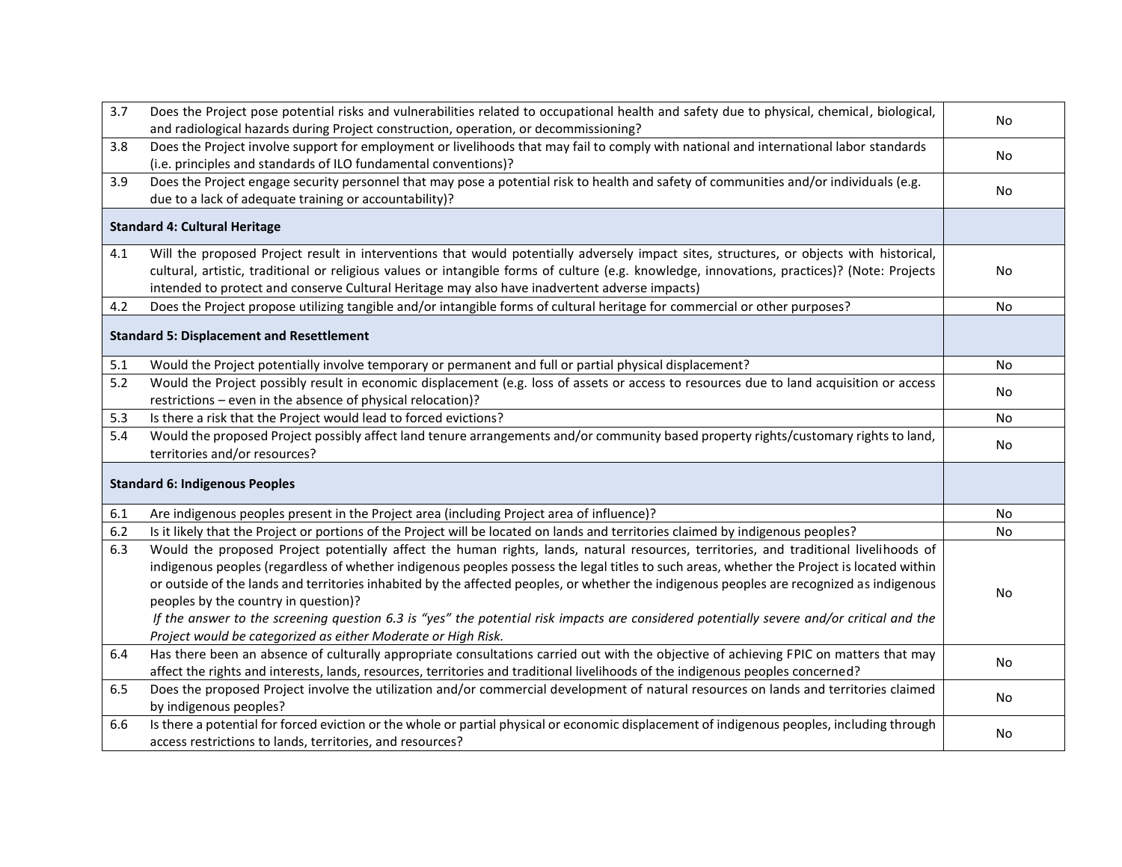| 3.7 | Does the Project pose potential risks and vulnerabilities related to occupational health and safety due to physical, chemical, biological,<br>and radiological hazards during Project construction, operation, or decommissioning?                                                                                                                                                                                                                                       | No        |
|-----|--------------------------------------------------------------------------------------------------------------------------------------------------------------------------------------------------------------------------------------------------------------------------------------------------------------------------------------------------------------------------------------------------------------------------------------------------------------------------|-----------|
| 3.8 | Does the Project involve support for employment or livelihoods that may fail to comply with national and international labor standards                                                                                                                                                                                                                                                                                                                                   |           |
|     | (i.e. principles and standards of ILO fundamental conventions)?                                                                                                                                                                                                                                                                                                                                                                                                          | No        |
| 3.9 | Does the Project engage security personnel that may pose a potential risk to health and safety of communities and/or individuals (e.g.                                                                                                                                                                                                                                                                                                                                   |           |
|     | due to a lack of adequate training or accountability)?                                                                                                                                                                                                                                                                                                                                                                                                                   | No        |
|     | <b>Standard 4: Cultural Heritage</b>                                                                                                                                                                                                                                                                                                                                                                                                                                     |           |
| 4.1 | Will the proposed Project result in interventions that would potentially adversely impact sites, structures, or objects with historical,<br>cultural, artistic, traditional or religious values or intangible forms of culture (e.g. knowledge, innovations, practices)? (Note: Projects<br>intended to protect and conserve Cultural Heritage may also have inadvertent adverse impacts)                                                                                | No        |
| 4.2 | Does the Project propose utilizing tangible and/or intangible forms of cultural heritage for commercial or other purposes?                                                                                                                                                                                                                                                                                                                                               | No        |
|     | <b>Standard 5: Displacement and Resettlement</b>                                                                                                                                                                                                                                                                                                                                                                                                                         |           |
| 5.1 | Would the Project potentially involve temporary or permanent and full or partial physical displacement?                                                                                                                                                                                                                                                                                                                                                                  | No        |
| 5.2 | Would the Project possibly result in economic displacement (e.g. loss of assets or access to resources due to land acquisition or access                                                                                                                                                                                                                                                                                                                                 | No        |
|     | restrictions - even in the absence of physical relocation)?                                                                                                                                                                                                                                                                                                                                                                                                              |           |
| 5.3 | Is there a risk that the Project would lead to forced evictions?                                                                                                                                                                                                                                                                                                                                                                                                         | No        |
| 5.4 | Would the proposed Project possibly affect land tenure arrangements and/or community based property rights/customary rights to land,<br>territories and/or resources?                                                                                                                                                                                                                                                                                                    | No        |
|     | <b>Standard 6: Indigenous Peoples</b>                                                                                                                                                                                                                                                                                                                                                                                                                                    |           |
| 6.1 | Are indigenous peoples present in the Project area (including Project area of influence)?                                                                                                                                                                                                                                                                                                                                                                                | No        |
| 6.2 | Is it likely that the Project or portions of the Project will be located on lands and territories claimed by indigenous peoples?                                                                                                                                                                                                                                                                                                                                         | <b>No</b> |
| 6.3 | Would the proposed Project potentially affect the human rights, lands, natural resources, territories, and traditional livelihoods of<br>indigenous peoples (regardless of whether indigenous peoples possess the legal titles to such areas, whether the Project is located within<br>or outside of the lands and territories inhabited by the affected peoples, or whether the indigenous peoples are recognized as indigenous<br>peoples by the country in question)? | No        |
|     | If the answer to the screening question 6.3 is "yes" the potential risk impacts are considered potentially severe and/or critical and the<br>Project would be categorized as either Moderate or High Risk.                                                                                                                                                                                                                                                               |           |
| 6.4 | Has there been an absence of culturally appropriate consultations carried out with the objective of achieving FPIC on matters that may<br>affect the rights and interests, lands, resources, territories and traditional livelihoods of the indigenous peoples concerned?                                                                                                                                                                                                | No        |
| 6.5 | Does the proposed Project involve the utilization and/or commercial development of natural resources on lands and territories claimed<br>by indigenous peoples?                                                                                                                                                                                                                                                                                                          | No        |
| 6.6 | Is there a potential for forced eviction or the whole or partial physical or economic displacement of indigenous peoples, including through<br>access restrictions to lands, territories, and resources?                                                                                                                                                                                                                                                                 | No        |